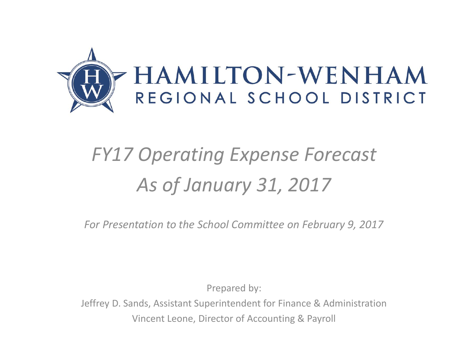

## *FY17 Operating Expense Forecast As of January 31, 2017*

*For Presentation to the School Committee on February 9, 2017*

Prepared by:

Jeffrey D. Sands, Assistant Superintendent for Finance & Administration Vincent Leone, Director of Accounting & Payroll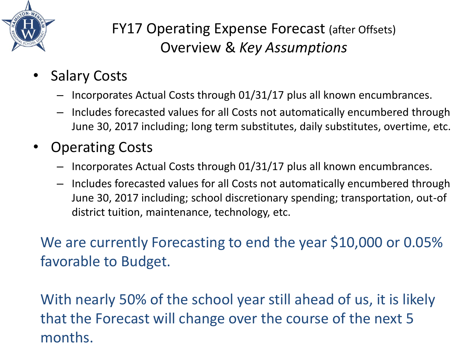

## FY17 Operating Expense Forecast (after Offsets) Overview & *Key Assumptions*

- **Salary Costs** 
	- Incorporates Actual Costs through 01/31/17 plus all known encumbrances.
	- Includes forecasted values for all Costs not automatically encumbered through June 30, 2017 including; long term substitutes, daily substitutes, overtime, etc.
- Operating Costs
	- Incorporates Actual Costs through 01/31/17 plus all known encumbrances.
	- Includes forecasted values for all Costs not automatically encumbered through June 30, 2017 including; school discretionary spending; transportation, out-of district tuition, maintenance, technology, etc.

We are currently Forecasting to end the year \$10,000 or 0.05% favorable to Budget.

With nearly 50% of the school year still ahead of us, it is likely that the Forecast will change over the course of the next 5 months.